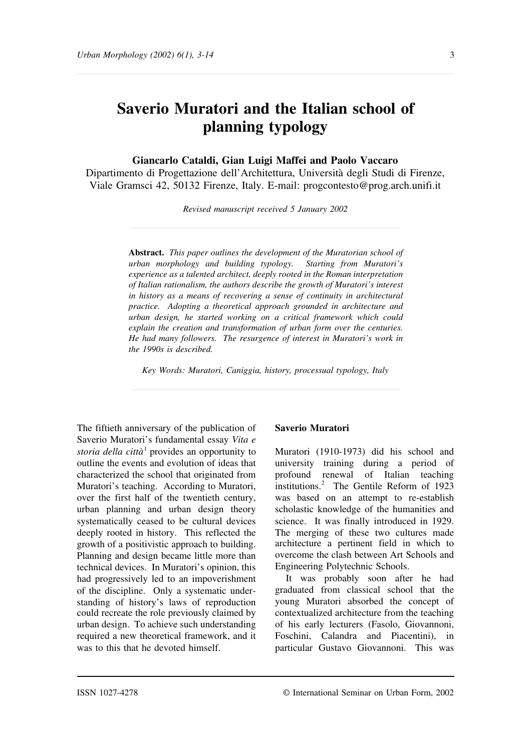# **Saverio Muratori and the Italian school of planning typology**

**Giancarlo Cataldi, Gian Luigi Maffei and Paolo Vaccaro**

Dipartimento di Progettazione dell'Architettura, Università degli Studi di Firenze, Viale Gramsci 42, 50132 Firenze, Italy. E-mail: progcontesto@prog.arch.unifi.it

*Revised manuscript received 5 January 2002*

**Abstract.** *This paper outlines the development of the Muratorian school of urban morphology and building typology. Starting from Muratori's experience as a talented architect, deeply rooted in the Roman interpretation of Italian rationalism, the authors describe the growth of Muratori's interest in history as a means of recovering a sense of continuity in architectural practice. Adopting a theoretical approach grounded in architecture and urban design, he started working on a critical framework which could explain the creation and transformation of urban form over the centuries. He had many followers. The resurgence of interest in Muratori's work in the 1990s is described.*

*Key Words: Muratori, Caniggia, history, processual typology, Italy*

The fiftieth anniversary of the publication of Saverio Muratori's fundamental essay *Vita e storia della città* <sup>1</sup> provides an opportunity to outline the events and evolution of ideas that characterized the school that originated from Muratori's teaching. According to Muratori, over the first half of the twentieth century, urban planning and urban design theory systematically ceased to be cultural devices deeply rooted in history. This reflected the growth of a positivistic approach to building. Planning and design became little more than technical devices. In Muratori's opinion, this had progressively led to an impoverishment of the discipline. Only a systematic understanding of history's laws of reproduction could recreate the role previously claimed by urban design. To achieve such understanding required a new theoretical framework, and it was to this that he devoted himself.

#### **Saverio Muratori**

Muratori (1910-1973) did his school and university training during a period of profound renewal of Italian teaching institutions.<sup>2</sup> The Gentile Reform of 1923 was based on an attempt to re-establish scholastic knowledge of the humanities and science. It was finally introduced in 1929. The merging of these two cultures made architecture a pertinent field in which to overcome the clash between Art Schools and Engineering Polytechnic Schools.

It was probably soon after he had graduated from classical school that the young Muratori absorbed the concept of contextualized architecture from the teaching of his early lecturers (Fasolo, Giovannoni, Foschini, Calandra and Piacentini), in particular Gustavo Giovannoni. This was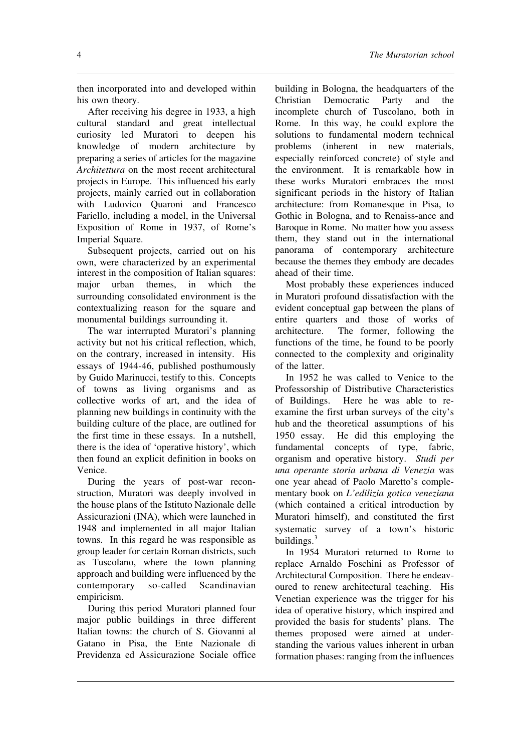4 *The Muratorian school*

then incorporated into and developed within his own theory.

After receiving his degree in 1933, a high cultural standard and great intellectual curiosity led Muratori to deepen his knowledge of modern architecture by preparing a series of articles for the magazine *Architettura* on the most recent architectural projects in Europe. This influenced his early projects, mainly carried out in collaboration with Ludovico Quaroni and Francesco Fariello, including a model, in the Universal Exposition of Rome in 1937, of Rome's Imperial Square.

Subsequent projects, carried out on his own, were characterized by an experimental interest in the composition of Italian squares: major urban themes, in which the surrounding consolidated environment is the contextualizing reason for the square and monumental buildings surrounding it.

The war interrupted Muratori's planning activity but not his critical reflection, which, on the contrary, increased in intensity. His essays of 1944-46, published posthumously by Guido Marinucci, testify to this. Concepts of towns as living organisms and as collective works of art, and the idea of planning new buildings in continuity with the building culture of the place, are outlined for the first time in these essays. In a nutshell, there is the idea of 'operative history', which then found an explicit definition in books on Venice.

During the years of post-war reconstruction, Muratori was deeply involved in the house plans of the Istituto Nazionale delle Assicurazioni (INA), which were launched in 1948 and implemented in all major Italian towns. In this regard he was responsible as group leader for certain Roman districts, such as Tuscolano, where the town planning approach and building were influenced by the contemporary so-called Scandinavian empiricism.

During this period Muratori planned four major public buildings in three different Italian towns: the church of S. Giovanni al Gatano in Pisa, the Ente Nazionale di Previdenza ed Assicurazione Sociale office

building in Bologna, the headquarters of the Christian Democratic Party and the incomplete church of Tuscolano, both in Rome. In this way, he could explore the solutions to fundamental modern technical problems (inherent in new materials, especially reinforced concrete) of style and the environment. It is remarkable how in these works Muratori embraces the most significant periods in the history of Italian architecture: from Romanesque in Pisa, to Gothic in Bologna, and to Renaiss-ance and Baroque in Rome. No matter how you assess them, they stand out in the international panorama of contemporary architecture because the themes they embody are decades ahead of their time.

Most probably these experiences induced in Muratori profound dissatisfaction with the evident conceptual gap between the plans of entire quarters and those of works of architecture. The former, following the functions of the time, he found to be poorly connected to the complexity and originality of the latter.

In 1952 he was called to Venice to the Professorship of Distributive Characteristics of Buildings. Here he was able to reexamine the first urban surveys of the city's hub and the theoretical assumptions of his 1950 essay. He did this employing the fundamental concepts of type, fabric, organism and operative history. *Studi per una operante storia urbana di Venezia* was one year ahead of Paolo Maretto's complementary book on *L'edilizia gotica veneziana* (which contained a critical introduction by Muratori himself), and constituted the first systematic survey of a town's historic buildings. $3$ 

In 1954 Muratori returned to Rome to replace Arnaldo Foschini as Professor of Architectural Composition. There he endeavoured to renew architectural teaching. His Venetian experience was the trigger for his idea of operative history, which inspired and provided the basis for students' plans. The themes proposed were aimed at understanding the various values inherent in urban formation phases: ranging from the influences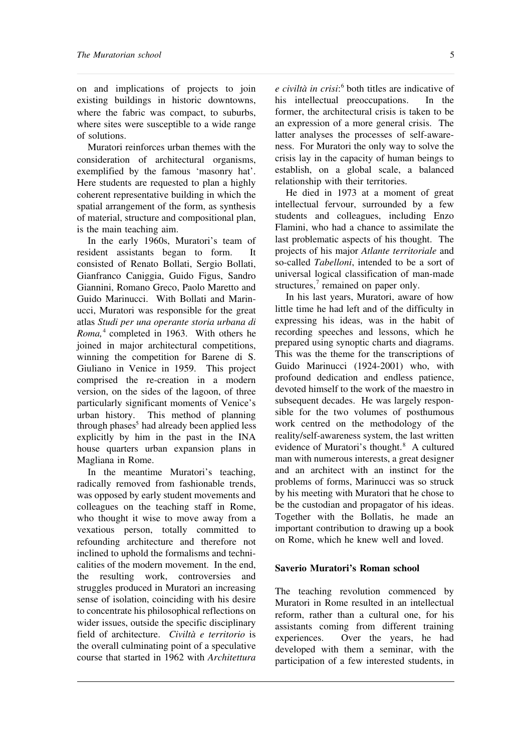on and implications of projects to join existing buildings in historic downtowns, where the fabric was compact, to suburbs, where sites were susceptible to a wide range of solutions.

Muratori reinforces urban themes with the consideration of architectural organisms, exemplified by the famous 'masonry hat'. Here students are requested to plan a highly coherent representative building in which the spatial arrangement of the form, as synthesis of material, structure and compositional plan, is the main teaching aim.

In the early 1960s, Muratori's team of resident assistants began to form. It consisted of Renato Bollati, Sergio Bollati, Gianfranco Caniggia, Guido Figus, Sandro Giannini, Romano Greco, Paolo Maretto and Guido Marinucci. With Bollati and Marinucci, Muratori was responsible for the great atlas *Studi per una operante storia urbana di* Roma,<sup>4</sup> completed in 1963. With others he joined in major architectural competitions, winning the competition for Barene di S. Giuliano in Venice in 1959. This project comprised the re-creation in a modern version, on the sides of the lagoon, of three particularly significant moments of Venice's urban history. This method of planning through phases<sup>5</sup> had already been applied less explicitly by him in the past in the INA house quarters urban expansion plans in Magliana in Rome.

In the meantime Muratori's teaching, radically removed from fashionable trends, was opposed by early student movements and colleagues on the teaching staff in Rome, who thought it wise to move away from a vexatious person, totally committed to refounding architecture and therefore not inclined to uphold the formalisms and technicalities of the modern movement. In the end, the resulting work, controversies and struggles produced in Muratori an increasing sense of isolation, coinciding with his desire to concentrate his philosophical reflections on wider issues, outside the specific disciplinary field of architecture. *Civiltà e territorio* is the overall culminating point of a speculative course that started in 1962 with *Architettura*

*e civiltà in crisi*: <sup>6</sup> both titles are indicative of his intellectual preoccupations. In the former, the architectural crisis is taken to be an expression of a more general crisis. The latter analyses the processes of self-awareness. For Muratori the only way to solve the crisis lay in the capacity of human beings to establish, on a global scale, a balanced relationship with their territories.

He died in 1973 at a moment of great intellectual fervour, surrounded by a few students and colleagues, including Enzo Flamini, who had a chance to assimilate the last problematic aspects of his thought. The projects of his major *Atlante territoriale* and so-called *Tabelloni*, intended to be a sort of universal logical classification of man-made structures, $\frac{7}{7}$  remained on paper only.

In his last years, Muratori, aware of how little time he had left and of the difficulty in expressing his ideas, was in the habit of recording speeches and lessons, which he prepared using synoptic charts and diagrams. This was the theme for the transcriptions of Guido Marinucci (1924-2001) who, with profound dedication and endless patience, devoted himself to the work of the maestro in subsequent decades. He was largely responsible for the two volumes of posthumous work centred on the methodology of the reality/self-awareness system, the last written evidence of Muratori's thought.<sup>8</sup> A cultured man with numerous interests, a great designer and an architect with an instinct for the problems of forms, Marinucci was so struck by his meeting with Muratori that he chose to be the custodian and propagator of his ideas. Together with the Bollatis, he made an important contribution to drawing up a book on Rome, which he knew well and loved.

### **Saverio Muratori's Roman school**

The teaching revolution commenced by Muratori in Rome resulted in an intellectual reform, rather than a cultural one, for his assistants coming from different training experiences. Over the years, he had developed with them a seminar, with the participation of a few interested students, in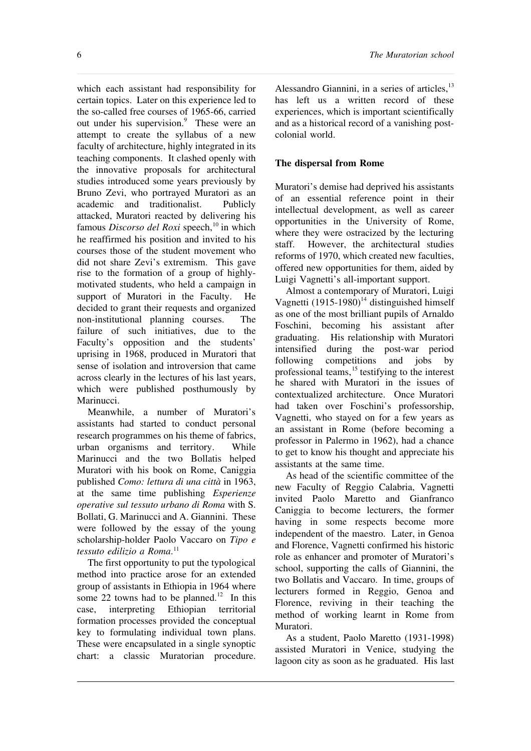which each assistant had responsibility for certain topics. Later on this experience led to the so-called free courses of 1965-66, carried out under his supervision.<sup>9</sup> These were an attempt to create the syllabus of a new faculty of architecture, highly integrated in its teaching components. It clashed openly with the innovative proposals for architectural studies introduced some years previously by Bruno Zevi, who portrayed Muratori as an academic and traditionalist. Publicly attacked, Muratori reacted by delivering his famous *Discorso del Roxi* speech,<sup>10</sup> in which he reaffirmed his position and invited to his courses those of the student movement who did not share Zevi's extremism. This gave rise to the formation of a group of highlymotivated students, who held a campaign in support of Muratori in the Faculty. He decided to grant their requests and organized non-institutional planning courses. The failure of such initiatives, due to the Faculty's opposition and the students' uprising in 1968, produced in Muratori that sense of isolation and introversion that came across clearly in the lectures of his last years, which were published posthumously by Marinucci.

Meanwhile, a number of Muratori's assistants had started to conduct personal research programmes on his theme of fabrics, urban organisms and territory. While Marinucci and the two Bollatis helped Muratori with his book on Rome, Caniggia published *Como: lettura di una città* in 1963, at the same time publishing *Esperienze operative sul tessuto urbano di Roma* with S. Bollati, G. Marinucci and A. Giannini. These were followed by the essay of the young scholarship-holder Paolo Vaccaro on *Tipo e tessuto edilizio a Roma*. 11

The first opportunity to put the typological method into practice arose for an extended group of assistants in Ethiopia in 1964 where some 22 towns had to be planned.<sup>12</sup> In this case, interpreting Ethiopian territorial formation processes provided the conceptual key to formulating individual town plans. These were encapsulated in a single synoptic chart: a classic Muratorian procedure.

Alessandro Giannini, in a series of articles,<sup>13</sup> has left us a written record of these experiences, which is important scientifically and as a historical record of a vanishing postcolonial world.

# **The dispersal from Rome**

Muratori's demise had deprived his assistants of an essential reference point in their intellectual development, as well as career opportunities in the University of Rome, where they were ostracized by the lecturing staff. However, the architectural studies reforms of 1970, which created new faculties, offered new opportunities for them, aided by Luigi Vagnetti's all-important support.

Almost a contemporary of Muratori, Luigi Vagnetti  $(1915-1980)^{14}$  distinguished himself as one of the most brilliant pupils of Arnaldo Foschini, becoming his assistant after graduating. His relationship with Muratori intensified during the post-war period following competitions and jobs by professional teams,<sup>15</sup> testifying to the interest he shared with Muratori in the issues of contextualized architecture. Once Muratori had taken over Foschini's professorship, Vagnetti, who stayed on for a few years as an assistant in Rome (before becoming a professor in Palermo in 1962), had a chance to get to know his thought and appreciate his assistants at the same time.

As head of the scientific committee of the new Faculty of Reggio Calabria, Vagnetti invited Paolo Maretto and Gianfranco Caniggia to become lecturers, the former having in some respects become more independent of the maestro. Later, in Genoa and Florence, Vagnetti confirmed his historic role as enhancer and promoter of Muratori's school, supporting the calls of Giannini, the two Bollatis and Vaccaro. In time, groups of lecturers formed in Reggio, Genoa and Florence, reviving in their teaching the method of working learnt in Rome from Muratori.

As a student, Paolo Maretto (1931-1998) assisted Muratori in Venice, studying the lagoon city as soon as he graduated. His last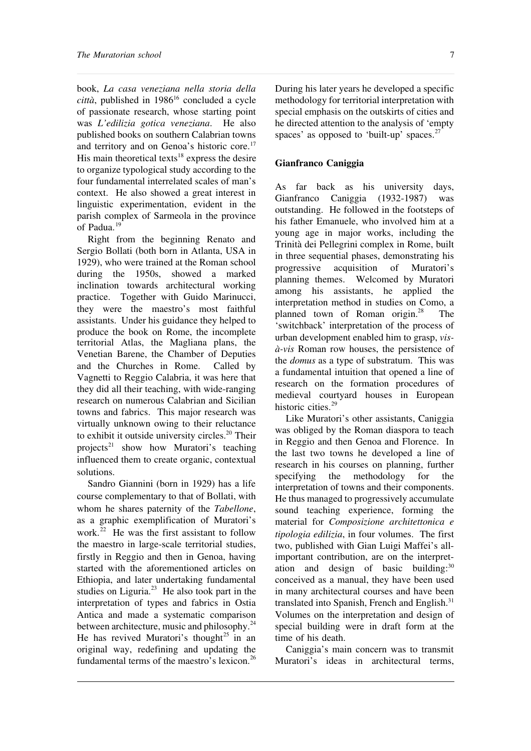book, *La casa veneziana nella storia della*  $citt\hat{a}$ , published in 1986<sup>16</sup> concluded a cycle of passionate research, whose starting point was *L'edilizia gotica veneziana*. He also published books on southern Calabrian towns and territory and on Genoa's historic core.<sup>17</sup> His main theoretical texts<sup>18</sup> express the desire to organize typological study according to the four fundamental interrelated scales of man's context. He also showed a great interest in linguistic experimentation, evident in the parish complex of Sarmeola in the province of Padua.<sup>19</sup>

Right from the beginning Renato and Sergio Bollati (both born in Atlanta, USA in 1929), who were trained at the Roman school during the 1950s, showed a marked inclination towards architectural working practice. Together with Guido Marinucci, they were the maestro's most faithful assistants. Under his guidance they helped to produce the book on Rome, the incomplete territorial Atlas, the Magliana plans, the Venetian Barene, the Chamber of Deputies and the Churches in Rome. Called by Vagnetti to Reggio Calabria, it was here that they did all their teaching, with wide-ranging research on numerous Calabrian and Sicilian towns and fabrics. This major research was virtually unknown owing to their reluctance to exhibit it outside university circles.<sup>20</sup> Their projects<sup>21</sup> show how Muratori's teaching influenced them to create organic, contextual solutions.

Sandro Giannini (born in 1929) has a life course complementary to that of Bollati, with whom he shares paternity of the *Tabellone*, as a graphic exemplification of Muratori's work. $22$  He was the first assistant to follow the maestro in large-scale territorial studies, firstly in Reggio and then in Genoa, having started with the aforementioned articles on Ethiopia, and later undertaking fundamental studies on Liguria. $^{23}$  He also took part in the interpretation of types and fabrics in Ostia Antica and made a systematic comparison between architecture, music and philosophy.<sup>24</sup> He has revived Muratori's thought<sup>25</sup> in an original way, redefining and updating the fundamental terms of the maestro's lexicon.<sup>26</sup>

During his later years he developed a specific methodology for territorial interpretation with special emphasis on the outskirts of cities and he directed attention to the analysis of 'empty spaces' as opposed to 'built-up' spaces. $27$ 

## **Gianfranco Caniggia**

As far back as his university days, Gianfranco Caniggia (1932-1987) was outstanding. He followed in the footsteps of his father Emanuele, who involved him at a young age in major works, including the Trinità dei Pellegrini complex in Rome, built in three sequential phases, demonstrating his progressive acquisition of Muratori's planning themes. Welcomed by Muratori among his assistants, he applied the interpretation method in studies on Como, a planned town of Roman origin. $^{28}$  The 'switchback' interpretation of the process of urban development enabled him to grasp, *visà-vis* Roman row houses, the persistence of the *domus* as a type of substratum. This was a fundamental intuition that opened a line of research on the formation procedures of medieval courtyard houses in European historic cities. $29$ 

Like Muratori's other assistants, Caniggia was obliged by the Roman diaspora to teach in Reggio and then Genoa and Florence. In the last two towns he developed a line of research in his courses on planning, further specifying the methodology for the interpretation of towns and their components. He thus managed to progressively accumulate sound teaching experience, forming the material for *Composizione architettonica e tipologia edilizia*, in four volumes. The first two, published with Gian Luigi Maffei's allimportant contribution, are on the interpretation and design of basic building:<sup>30</sup> conceived as a manual, they have been used in many architectural courses and have been translated into Spanish, French and English.<sup>31</sup> Volumes on the interpretation and design of special building were in draft form at the time of his death.

Caniggia's main concern was to transmit Muratori's ideas in architectural terms,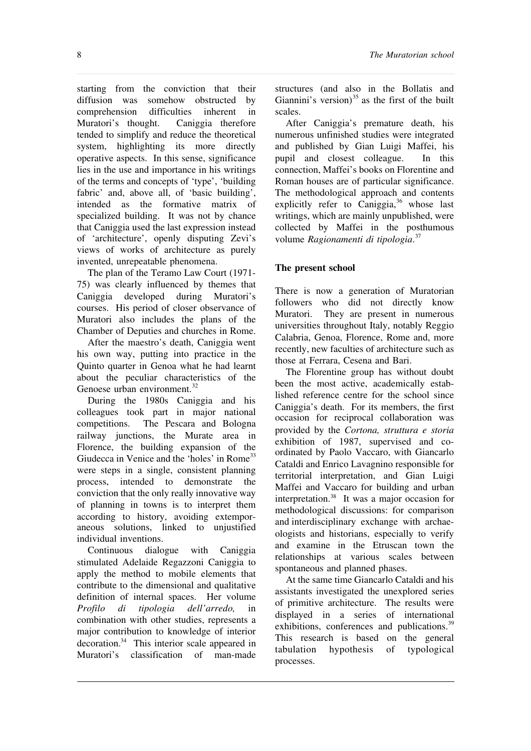starting from the conviction that their diffusion was somehow obstructed by comprehension difficulties inherent in Muratori's thought. Caniggia therefore tended to simplify and reduce the theoretical system, highlighting its more directly operative aspects. In this sense, significance lies in the use and importance in his writings of the terms and concepts of 'type', 'building fabric' and, above all, of 'basic building', intended as the formative matrix of specialized building. It was not by chance that Caniggia used the last expression instead of 'architecture', openly disputing Zevi's views of works of architecture as purely invented, unrepeatable phenomena.

The plan of the Teramo Law Court (1971- 75) was clearly influenced by themes that Caniggia developed during Muratori's courses. His period of closer observance of Muratori also includes the plans of the Chamber of Deputies and churches in Rome.

After the maestro's death, Caniggia went his own way, putting into practice in the Quinto quarter in Genoa what he had learnt about the peculiar characteristics of the Genoese urban environment.<sup>32</sup>

During the 1980s Caniggia and his colleagues took part in major national competitions. The Pescara and Bologna railway junctions, the Murate area in Florence, the building expansion of the Giudecca in Venice and the 'holes' in Rome<sup>33</sup> were steps in a single, consistent planning process, intended to demonstrate the conviction that the only really innovative way of planning in towns is to interpret them according to history, avoiding extemporaneous solutions, linked to unjustified individual inventions.

Continuous dialogue with Caniggia stimulated Adelaide Regazzoni Caniggia to apply the method to mobile elements that contribute to the dimensional and qualitative definition of internal spaces. Her volume *Profilo di tipologia dell'arredo,* in combination with other studies, represents a major contribution to knowledge of interior decoration.<sup>34</sup> This interior scale appeared in Muratori's classification of man-made

structures (and also in the Bollatis and Giannini's version)<sup>35</sup> as the first of the built scales.

After Caniggia's premature death, his numerous unfinished studies were integrated and published by Gian Luigi Maffei, his pupil and closest colleague. In this connection, Maffei's books on Florentine and Roman houses are of particular significance. The methodological approach and contents explicitly refer to Caniggia, $36$  whose last writings, which are mainly unpublished, were collected by Maffei in the posthumous volume *Ragionamenti di tipologia*. 37

## **The present school**

There is now a generation of Muratorian followers who did not directly know Muratori. They are present in numerous universities throughout Italy, notably Reggio Calabria, Genoa, Florence, Rome and, more recently, new faculties of architecture such as those at Ferrara, Cesena and Bari.

The Florentine group has without doubt been the most active, academically established reference centre for the school since Caniggia's death. For its members, the first occasion for reciprocal collaboration was provided by the *Cortona, struttura e storia* exhibition of 1987, supervised and coordinated by Paolo Vaccaro, with Giancarlo Cataldi and Enrico Lavagnino responsible for territorial interpretation, and Gian Luigi Maffei and Vaccaro for building and urban interpretation.<sup>38</sup> It was a major occasion for methodological discussions: for comparison and interdisciplinary exchange with archaeologists and historians, especially to verify and examine in the Etruscan town the relationships at various scales between spontaneous and planned phases.

At the same time Giancarlo Cataldi and his assistants investigated the unexplored series of primitive architecture. The results were displayed in a series of international exhibitions, conferences and publications.<sup>39</sup> This research is based on the general tabulation hypothesis of typological processes.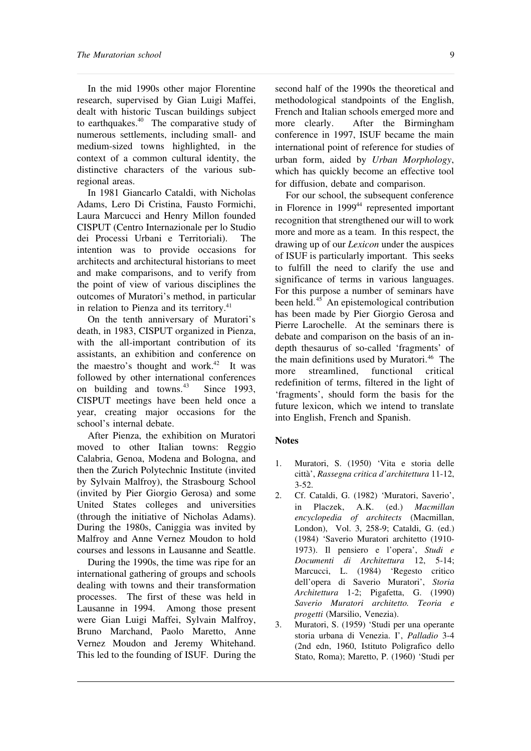In the mid 1990s other major Florentine research, supervised by Gian Luigi Maffei, dealt with historic Tuscan buildings subject to earthquakes. $40$  The comparative study of numerous settlements, including small- and medium-sized towns highlighted, in the context of a common cultural identity, the distinctive characters of the various subregional areas.

In 1981 Giancarlo Cataldi, with Nicholas Adams, Lero Di Cristina, Fausto Formichi, Laura Marcucci and Henry Millon founded CISPUT (Centro Internazionale per lo Studio dei Processi Urbani e Territoriali). The intention was to provide occasions for architects and architectural historians to meet and make comparisons, and to verify from the point of view of various disciplines the outcomes of Muratori's method, in particular in relation to Pienza and its territory.<sup>41</sup>

On the tenth anniversary of Muratori's death, in 1983, CISPUT organized in Pienza, with the all-important contribution of its assistants, an exhibition and conference on the maestro's thought and work. $42$  It was followed by other international conferences on building and towns. $43$  Since 1993, CISPUT meetings have been held once a year, creating major occasions for the school's internal debate.

After Pienza, the exhibition on Muratori moved to other Italian towns: Reggio Calabria, Genoa, Modena and Bologna, and then the Zurich Polytechnic Institute (invited by Sylvain Malfroy), the Strasbourg School (invited by Pier Giorgio Gerosa) and some United States colleges and universities (through the initiative of Nicholas Adams). During the 1980s, Caniggia was invited by Malfroy and Anne Vernez Moudon to hold courses and lessons in Lausanne and Seattle.

During the 1990s, the time was ripe for an international gathering of groups and schools dealing with towns and their transformation processes. The first of these was held in Lausanne in 1994. Among those present were Gian Luigi Maffei, Sylvain Malfroy, Bruno Marchand, Paolo Maretto, Anne Vernez Moudon and Jeremy Whitehand. This led to the founding of ISUF. During the

second half of the 1990s the theoretical and methodological standpoints of the English, French and Italian schools emerged more and more clearly. After the Birmingham conference in 1997, ISUF became the main international point of reference for studies of urban form, aided by *Urban Morphology*, which has quickly become an effective tool for diffusion, debate and comparison.

For our school, the subsequent conference in Florence in  $1999<sup>44</sup>$  represented important recognition that strengthened our will to work more and more as a team. In this respect, the drawing up of our *Lexicon* under the auspices of ISUF is particularly important. This seeks to fulfill the need to clarify the use and significance of terms in various languages. For this purpose a number of seminars have been held.<sup>45</sup> An epistemological contribution has been made by Pier Giorgio Gerosa and Pierre Larochelle. At the seminars there is debate and comparison on the basis of an indepth thesaurus of so-called 'fragments' of the main definitions used by Muratori.<sup>46</sup> The more streamlined, functional critical redefinition of terms, filtered in the light of 'fragments', should form the basis for the future lexicon, which we intend to translate into English, French and Spanish.

## **Notes**

- 1. Muratori, S. (1950) 'Vita e storia delle città', *Rassegna critica d'architettura* 11-12, 3-52.
- 2. Cf. Cataldi, G. (1982) 'Muratori, Saverio', in Placzek, A.K. (ed.) *Macmillan encyclopedia of architects* (Macmillan, London), Vol. 3, 258-9; Cataldi, G. (ed.) (1984) 'Saverio Muratori architetto (1910- 1973). Il pensiero e l'opera', *Studi e Documenti di Architettura* 12, 5-14; Marcucci, L. (1984) 'Regesto critico dell'opera di Saverio Muratori', *Storia Architettura* 1-2; Pigafetta, G. (1990) *Saverio Muratori architetto. Teoria e progetti* (Marsilio, Venezia).
- 3. Muratori, S. (1959) 'Studi per una operante storia urbana di Venezia. I', *Palladio* 3-4 (2nd edn, 1960, Istituto Poligrafico dello Stato, Roma); Maretto, P. (1960) 'Studi per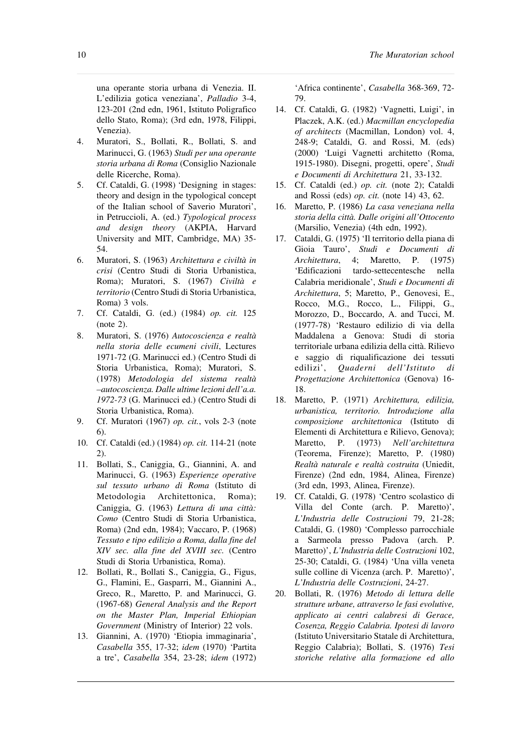una operante storia urbana di Venezia. II. L'edilizia gotica veneziana', *Palladio* 3-4, 123-201 (2nd edn, 1961, Istituto Poligrafico dello Stato, Roma); (3rd edn, 1978, Filippi, Venezia).

- 4. Muratori, S., Bollati, R., Bollati, S. and Marinucci, G. (1963) *Studi per una operante storia urbana di Roma* (Consiglio Nazionale delle Ricerche, Roma).
- 5. Cf. Cataldi, G. (1998) 'Designing in stages: theory and design in the typological concept of the Italian school of Saverio Muratori', in Petruccioli, A. (ed.) *Typological process and design theory* (AKPIA, Harvard University and MIT, Cambridge, MA) 35- 54.
- 6. Muratori, S. (1963) *Architettura e civiltà in crisi* (Centro Studi di Storia Urbanistica, Roma); Muratori, S. (1967) *Civiltà e* territorio (Centro Studi di Storia Urbanistica, Roma) 3 vols.
- 7. Cf. Cataldi, G. (ed.) (1984) *op. cit.* 125 (note 2).
- 8. Muratori, S. (1976) *Autocoscienza e realtà nella storia delle ecumeni civili*, Lectures 1971-72 (G. Marinucci ed.) (Centro Studi di Storia Urbanistica, Roma); Muratori, S. (1978) *Metodologia del sistema realtà –autocoscienza. Dalle ultime lezioni dell'a.a. 1972-73* (G. Marinucci ed.) (Centro Studi di Storia Urbanistica, Roma).
- 9. Cf. Muratori (1967) *op. cit.*, vols 2-3 (note 6).
- 10. Cf. Cataldi (ed.) (1984) *op. cit.* 114-21 (note 2).
- 11. Bollati, S., Caniggia, G., Giannini, A. and Marinucci, G. (1963) *Esperienze operative sul tessuto urbano di Roma* (Istituto di Metodologia Architettonica, Roma); Caniggia, G. (1963) *Lettura di una città: Como* (Centro Studi di Storia Urbanistica, Roma) (2nd edn, 1984); Vaccaro, P. (1968) *Tessuto e tipo edilizio a Roma, dalla fine del XIV sec. alla fine del XVIII sec.* (Centro Studi di Storia Urbanistica, Roma).
- 12. Bollati, R., Bollati S., Caniggia, G., Figus, G., Flamini, E., Gasparri, M., Giannini A., Greco, R., Maretto, P. and Marinucci, G. (1967-68) *General Analysis and the Report on the Master Plan, Imperial Ethiopian Government* (Ministry of Interior) 22 vols.
- 13. Giannini, A. (1970) 'Etiopia immaginaria', *Casabella* 355, 17-32; *idem* (1970) 'Partita a tre', *Casabella* 354, 23-28; *idem* (1972)

'Africa continente', *Casabella* 368-369, 72- 79.

- 14. Cf. Cataldi, G. (1982) 'Vagnetti, Luigi', in Placzek, A.K. (ed.) *Macmillan encyclopedia of architects* (Macmillan, London) vol. 4, 248-9; Cataldi, G. and Rossi, M. (eds) (2000) 'Luigi Vagnetti architetto (Roma, 1915-1980). Disegni, progetti, opere', *Studi e Documenti di Architettura* 21, 33-132.
- 15. Cf. Cataldi (ed.) *op. cit.* (note 2); Cataldi and Rossi (eds) *op. cit.* (note 14) 43, 62.
- 16. Maretto, P. (1986) *La casa veneziana nella storia della città. Dalle origini all'Ottocento* (Marsilio, Venezia) (4th edn, 1992).
- 17. Cataldi, G. (1975) 'Il territorio della piana di Gioia Tauro', *Studi e Documenti di Architettura*, 4; Maretto, P. (1975) 'Edificazioni tardo-settecentesche nella Calabria meridionale', *Studi e Documenti di Architettura*, 5; Maretto, P., Genovesi, E., Rocco, M.G., Rocco, L., Filippi, G., Morozzo, D., Boccardo, A. and Tucci, M. (1977-78) 'Restauro edilizio di via della Maddalena a Genova: Studi di storia territoriale urbana edilizia della città. Rilievo e saggio di riqualificazione dei tessuti edilizi', *Quaderni dell'Istituto di Progettazione Architettonica* (Genova) 16- 18.
- 18. Maretto, P. (1971) *Architettura, edilizia, urbanistica, territorio. Introduzione alla composizione architettonica* (Istituto di Elementi di Architettura e Rilievo, Genova); Maretto, P. (1973) *Nell'architettura* (Teorema, Firenze); Maretto, P. (1980) *Realtà naturale e realtà costruita* (Uniedit, Firenze) (2nd edn, 1984, Alinea, Firenze) (3rd edn, 1993, Alinea, Firenze).
- 19. Cf. Cataldi, G. (1978) 'Centro scolastico di Villa del Conte (arch. P. Maretto)', *L'Industria delle Costruzioni* 79, 21-28; Cataldi, G. (1980) 'Complesso parrocchiale a Sarmeola presso Padova (arch. P. Maretto)', *L'Industria delle Costruzioni* 102, 25-30; Cataldi, G. (1984) 'Una villa veneta sulle colline di Vicenza (arch. P. Maretto)', *L'Industria delle Costruzioni*, 24-27.
- 20. Bollati, R. (1976) *Metodo di lettura delle strutture urbane, attraverso le fasi evolutive, applicato ai centri calabresi di Gerace, Cosenza, Reggio Calabria. Ipotesi di lavoro* (Istituto Universitario Statale di Architettura, Reggio Calabria); Bollati, S. (1976) *Tesi storiche relative alla formazione ed allo*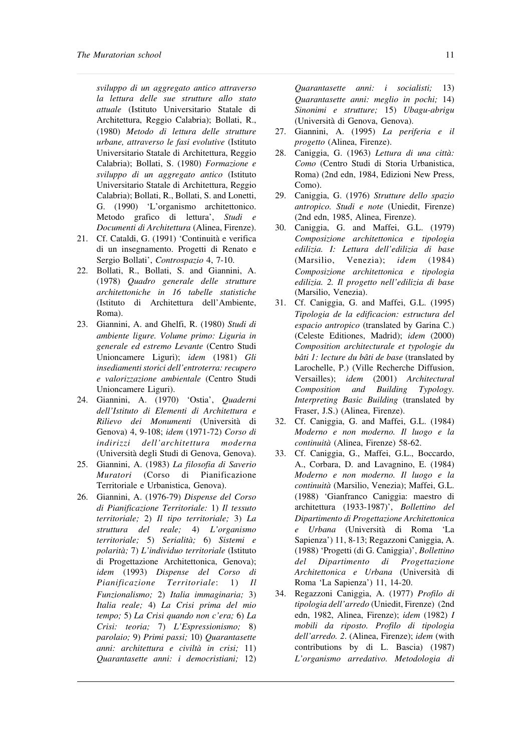*sviluppo di un aggregato antico attraverso la lettura delle sue strutture allo stato attuale* (Istituto Universitario Statale di Architettura, Reggio Calabria); Bollati, R., (1980) *Metodo di lettura delle strutture urbane, attraverso le fasi evolutive* (Istituto Universitario Statale di Architettura, Reggio Calabria); Bollati, S. (1980) *Formazione e sviluppo di un aggregato antico* (Istituto Universitario Statale di Architettura, Reggio Calabria); Bollati, R., Bollati, S. and Lonetti, G. (1990) 'L'organismo architettonico. Metodo grafico di lettura', *Studi e Documenti di Architettura* (Alinea, Firenze).

- 21. Cf. Cataldi, G. (1991) 'Continuità e verifica di un insegnamento. Progetti di Renato e Sergio Bollati', *Controspazio* 4, 7-10.
- 22. Bollati, R., Bollati, S. and Giannini, A. (1978) *Quadro generale delle strutture architettoniche in 16 tabelle statistiche* (Istituto di Architettura dell'Ambiente, Roma).
- 23. Giannini, A. and Ghelfi, R. (1980) *Studi di ambiente ligure. Volume primo: Liguria in generale ed estremo Levante* (Centro Studi Unioncamere Liguri); *idem* (1981) *Gli insediamentistorici dell'entroterra:recupero e valorizzazione ambientale* (Centro Studi Unioncamere Liguri).
- 24. Giannini, A. (1970) 'Ostia', *Quaderni dell'Istituto di Elementi di Architettura e Rilievo dei Monumenti* (Università di Genova) 4, 9-108; *idem* (1971-72) *Corso di indirizzi dell'architettura moderna* (Università degli Studi di Genova, Genova).
- 25. Giannini, A. (1983) *La filosofia di Saverio Muratori* (Corso di Pianificazione Territoriale e Urbanistica, Genova).
- 26. Giannini, A. (1976-79) *Dispense del Corso di Pianificazione Territoriale:* 1) *Il tessuto territoriale;* 2) *Il tipo territoriale;* 3) *La struttura del reale;* 4) *L'organismo territoriale;* 5) *Serialità;* 6) *Sistemi e polarità;* 7) *L'individuo territoriale* (Istituto di Progettazione Architettonica, Genova); *idem* (1993) *Dispense del Corso di Pianificazione Territoriale*: 1) *Il Funzionalismo;* 2) *Italia immaginaria;* 3) *Italia reale;* 4) *La Crisi prima del mio tempo;* 5) *La Crisi quando non c'era;* 6) *La Crisi: teoria;* 7) *L'Espressionismo;* 8) *parolaio;* 9) *Primi passi;* 10) *Quarantasette anni: architettura e civiltà in crisi;* 11) *Quarantasette anni: i democristiani;* 12)

*Quarantasette anni: i socialisti;* 13) *Quarantasette anni: meglio in pochi;* 14) *Sinonimi e strutture;* 15) *Ubagu-abrigu* (Università di Genova, Genova).

- 27. Giannini, A. (1995) *La periferia e il progetto* (Alinea, Firenze).
- 28. Caniggia, G. (1963) *Lettura di una città: Como* (Centro Studi di Storia Urbanistica, Roma) (2nd edn, 1984, Edizioni New Press, Como).
- 29. Caniggia, G. (1976) *Strutture dello spazio antropico. Studi e note* (Uniedit, Firenze) (2nd edn, 1985, Alinea, Firenze).
- 30. Caniggia, G. and Maffei, G.L. (1979) *Composizione architettonica e tipologia edilizia. I: Lettura dell'edilizia di base* (Marsilio, Venezia); *idem* (1984) *Composizione architettonica e tipologia edilizia. 2. Il progetto nell'edilizia di base* (Marsilio, Venezia).
- 31. Cf. Caniggia, G. and Maffei, G.L. (1995) *Tipologia de la edificacion: estructura del espacio antropico* (translated by Garina C.) (Celeste Editiones, Madrid); *idem* (2000) *Composition architecturale et typologie du bâti 1: lecture du bâti de base* (translated by Larochelle, P.) (Ville Recherche Diffusion, Versailles); *idem* (2001) *Architectural Composition and Building Typology. Interpreting Basic Building* (translated by Fraser, J.S.) (Alinea, Firenze).
- 32. Cf. Caniggia, G. and Maffei, G.L. (1984) *Moderno e non moderno. Il luogo e la continuità* (Alinea, Firenze) 58-62.
- 33. Cf. Caniggia, G., Maffei, G.L., Boccardo, A., Corbara, D. and Lavagnino, E. (1984) *Moderno e non moderno. Il luogo e la continuità* (Marsilio, Venezia); Maffei, G.L. (1988) 'Gianfranco Caniggia: maestro di architettura (1933-1987)', *Bollettino del Dipartimento di Progettazione Architettonica e Urbana* (Università di Roma 'La Sapienza') 11, 8-13; Regazzoni Caniggia, A. (1988) 'Progetti (di G. Caniggia)', *Bollettino del Dipartimento di Progettazione Architettonica e Urbana* (Università di Roma 'La Sapienza') 11, 14-20.
- 34. Regazzoni Caniggia, A. (1977) *Profilo di tipologia dell'arredo* (Uniedit,Firenze) (2nd edn, 1982, Alinea, Firenze); *idem* (1982) *I mobili da riposto. Profilo di tipologia dell'arredo. 2*. (Alinea, Firenze); *idem* (with contributions by di L. Bascia) (1987) *L'organismo arredativo. Metodologia di*